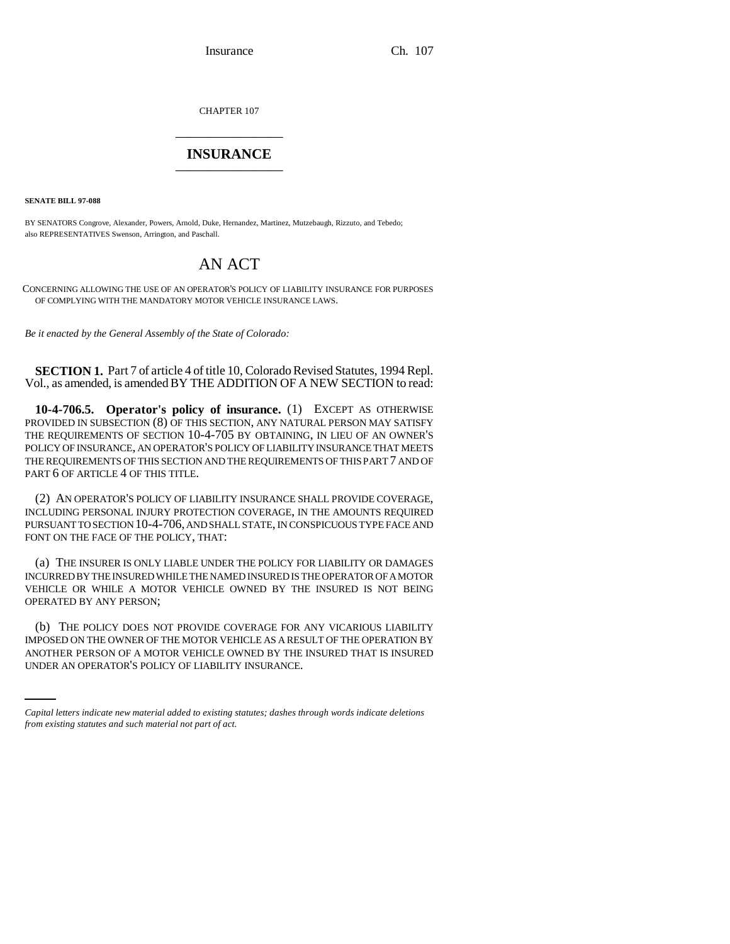Insurance Ch. 107

CHAPTER 107 \_\_\_\_\_\_\_\_\_\_\_\_\_\_\_

## **INSURANCE** \_\_\_\_\_\_\_\_\_\_\_\_\_\_\_

**SENATE BILL 97-088**

BY SENATORS Congrove, Alexander, Powers, Arnold, Duke, Hernandez, Martinez, Mutzebaugh, Rizzuto, and Tebedo; also REPRESENTATIVES Swenson, Arrington, and Paschall.

## AN ACT

CONCERNING ALLOWING THE USE OF AN OPERATOR'S POLICY OF LIABILITY INSURANCE FOR PURPOSES OF COMPLYING WITH THE MANDATORY MOTOR VEHICLE INSURANCE LAWS.

*Be it enacted by the General Assembly of the State of Colorado:*

**SECTION 1.** Part 7 of article 4 of title 10, Colorado Revised Statutes, 1994 Repl. Vol., as amended, is amended BY THE ADDITION OF A NEW SECTION to read:

**10-4-706.5. Operator's policy of insurance.** (1) EXCEPT AS OTHERWISE PROVIDED IN SUBSECTION (8) OF THIS SECTION, ANY NATURAL PERSON MAY SATISFY THE REQUIREMENTS OF SECTION 10-4-705 BY OBTAINING, IN LIEU OF AN OWNER'S POLICY OF INSURANCE, AN OPERATOR'S POLICY OF LIABILITY INSURANCE THAT MEETS THE REQUIREMENTS OF THIS SECTION AND THE REQUIREMENTS OF THIS PART 7 AND OF PART 6 OF ARTICLE 4 OF THIS TITLE.

(2) AN OPERATOR'S POLICY OF LIABILITY INSURANCE SHALL PROVIDE COVERAGE, INCLUDING PERSONAL INJURY PROTECTION COVERAGE, IN THE AMOUNTS REQUIRED PURSUANT TO SECTION 10-4-706, AND SHALL STATE, IN CONSPICUOUS TYPE FACE AND FONT ON THE FACE OF THE POLICY, THAT:

(a) THE INSURER IS ONLY LIABLE UNDER THE POLICY FOR LIABILITY OR DAMAGES INCURRED BY THE INSURED WHILE THE NAMED INSURED IS THE OPERATOR OF A MOTOR VEHICLE OR WHILE A MOTOR VEHICLE OWNED BY THE INSURED IS NOT BEING OPERATED BY ANY PERSON;

IMPOSED ON THE OWNER OF THE MOTOR VEHICLE AS A RESULT OF THE OPERATION BY (b) THE POLICY DOES NOT PROVIDE COVERAGE FOR ANY VICARIOUS LIABILITY ANOTHER PERSON OF A MOTOR VEHICLE OWNED BY THE INSURED THAT IS INSURED UNDER AN OPERATOR'S POLICY OF LIABILITY INSURANCE.

*Capital letters indicate new material added to existing statutes; dashes through words indicate deletions from existing statutes and such material not part of act.*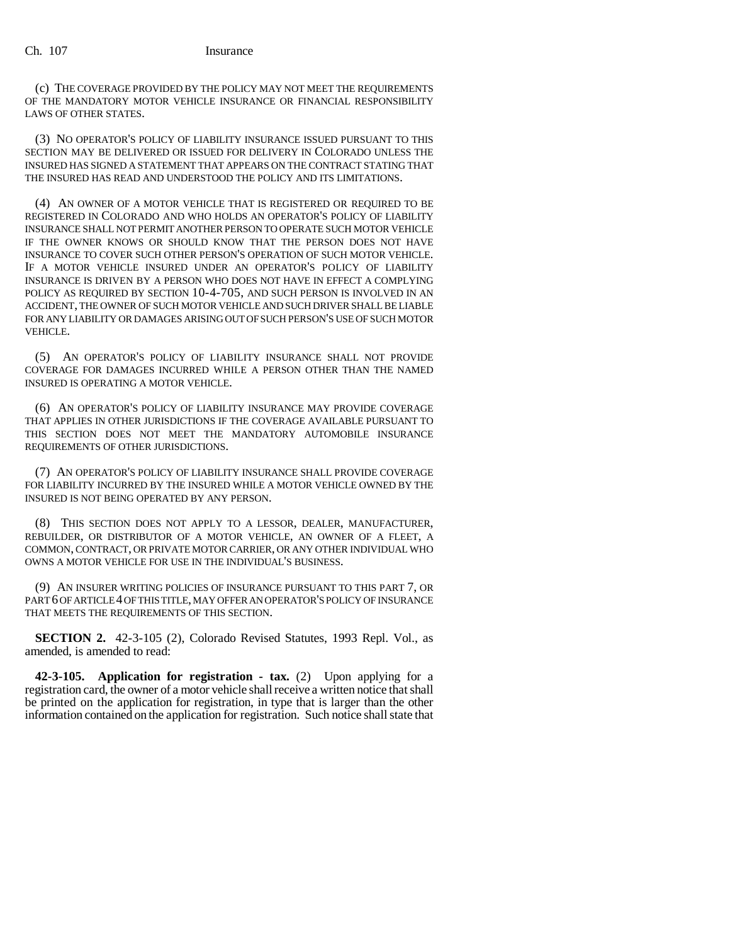(c) THE COVERAGE PROVIDED BY THE POLICY MAY NOT MEET THE REQUIREMENTS OF THE MANDATORY MOTOR VEHICLE INSURANCE OR FINANCIAL RESPONSIBILITY LAWS OF OTHER STATES.

(3) NO OPERATOR'S POLICY OF LIABILITY INSURANCE ISSUED PURSUANT TO THIS SECTION MAY BE DELIVERED OR ISSUED FOR DELIVERY IN COLORADO UNLESS THE INSURED HAS SIGNED A STATEMENT THAT APPEARS ON THE CONTRACT STATING THAT THE INSURED HAS READ AND UNDERSTOOD THE POLICY AND ITS LIMITATIONS.

(4) AN OWNER OF A MOTOR VEHICLE THAT IS REGISTERED OR REQUIRED TO BE REGISTERED IN COLORADO AND WHO HOLDS AN OPERATOR'S POLICY OF LIABILITY INSURANCE SHALL NOT PERMIT ANOTHER PERSON TO OPERATE SUCH MOTOR VEHICLE IF THE OWNER KNOWS OR SHOULD KNOW THAT THE PERSON DOES NOT HAVE INSURANCE TO COVER SUCH OTHER PERSON'S OPERATION OF SUCH MOTOR VEHICLE. IF A MOTOR VEHICLE INSURED UNDER AN OPERATOR'S POLICY OF LIABILITY INSURANCE IS DRIVEN BY A PERSON WHO DOES NOT HAVE IN EFFECT A COMPLYING POLICY AS REQUIRED BY SECTION 10-4-705, AND SUCH PERSON IS INVOLVED IN AN ACCIDENT, THE OWNER OF SUCH MOTOR VEHICLE AND SUCH DRIVER SHALL BE LIABLE FOR ANY LIABILITY OR DAMAGES ARISING OUT OF SUCH PERSON'S USE OF SUCH MOTOR VEHICLE.

(5) AN OPERATOR'S POLICY OF LIABILITY INSURANCE SHALL NOT PROVIDE COVERAGE FOR DAMAGES INCURRED WHILE A PERSON OTHER THAN THE NAMED INSURED IS OPERATING A MOTOR VEHICLE.

(6) AN OPERATOR'S POLICY OF LIABILITY INSURANCE MAY PROVIDE COVERAGE THAT APPLIES IN OTHER JURISDICTIONS IF THE COVERAGE AVAILABLE PURSUANT TO THIS SECTION DOES NOT MEET THE MANDATORY AUTOMOBILE INSURANCE REQUIREMENTS OF OTHER JURISDICTIONS.

(7) AN OPERATOR'S POLICY OF LIABILITY INSURANCE SHALL PROVIDE COVERAGE FOR LIABILITY INCURRED BY THE INSURED WHILE A MOTOR VEHICLE OWNED BY THE INSURED IS NOT BEING OPERATED BY ANY PERSON.

(8) THIS SECTION DOES NOT APPLY TO A LESSOR, DEALER, MANUFACTURER, REBUILDER, OR DISTRIBUTOR OF A MOTOR VEHICLE, AN OWNER OF A FLEET, A COMMON, CONTRACT, OR PRIVATE MOTOR CARRIER, OR ANY OTHER INDIVIDUAL WHO OWNS A MOTOR VEHICLE FOR USE IN THE INDIVIDUAL'S BUSINESS.

(9) AN INSURER WRITING POLICIES OF INSURANCE PURSUANT TO THIS PART 7, OR PART 6 OF ARTICLE 4 OF THIS TITLE, MAY OFFER AN OPERATOR'S POLICY OF INSURANCE THAT MEETS THE REQUIREMENTS OF THIS SECTION.

**SECTION 2.** 42-3-105 (2), Colorado Revised Statutes, 1993 Repl. Vol., as amended, is amended to read:

**42-3-105. Application for registration - tax.** (2) Upon applying for a registration card, the owner of a motor vehicle shall receive a written notice that shall be printed on the application for registration, in type that is larger than the other information contained on the application for registration. Such notice shall state that